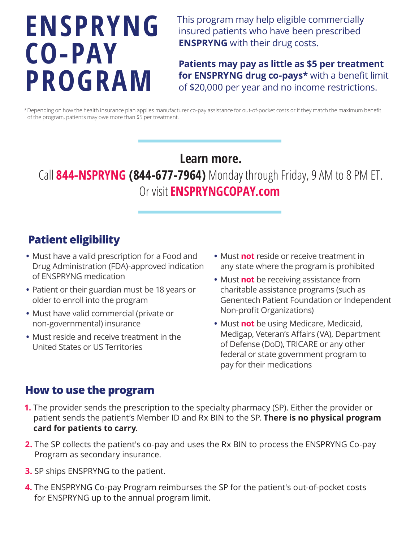# **ENSPRYNG CO-PAY PROGRAM**

This program may help eligible commercially insured patients who have been prescribed **ENSPRYNG** with their drug costs.

**Patients may pay as little as \$5 per treatment for ENSPRYNG drug co-pays\*** with a benefit limit of \$20,000 per year and no income restrictions.

\* Depending on how the health insurance plan applies manufacturer co-pay assistance for out-of-pocket costs or if they match the maximum benefit of the program, patients may owe more than \$5 per treatment.

# **Learn more.**

Call **844-NSPRYNG (844-677-7964)** Monday through Friday, 9 AM to 8 PM ET. Or visit **ENSPRYNGCOPAY.com**

# **Patient eligibility**

- **•** Must have a valid prescription for a Food and Drug Administration (FDA)-approved indication of ENSPRYNG medication
- **•** Patient or their guardian must be 18 years or older to enroll into the program
- **•** Must have valid commercial (private or non-governmental) insurance
- **•** Must reside and receive treatment in the United States or US Territories
- **•** Must **not** reside or receive treatment in any state where the program is prohibited
- **•** Must **not** be receiving assistance from charitable assistance programs (such as Genentech Patient Foundation or Independent Non-profit Organizations)
- **•** Must **not** be using Medicare, Medicaid, Medigap, Veteran's Affairs (VA), Department of Defense (DoD), TRICARE or any other federal or state government program to pay for their medications

#### **How to use the program**

- **1.** The provider sends the prescription to the specialty pharmacy (SP). Either the provider or patient sends the patient's Member ID and Rx BIN to the SP. **There is no physical program card for patients to carry**.
- **2.** The SP collects the patient's co-pay and uses the Rx BIN to process the ENSPRYNG Co-pay Program as secondary insurance.
- **3.** SP ships ENSPRYNG to the patient.
- **4.** The ENSPRYNG Co-pay Program reimburses the SP for the patient's out-of-pocket costs for ENSPRYNG up to the annual program limit.